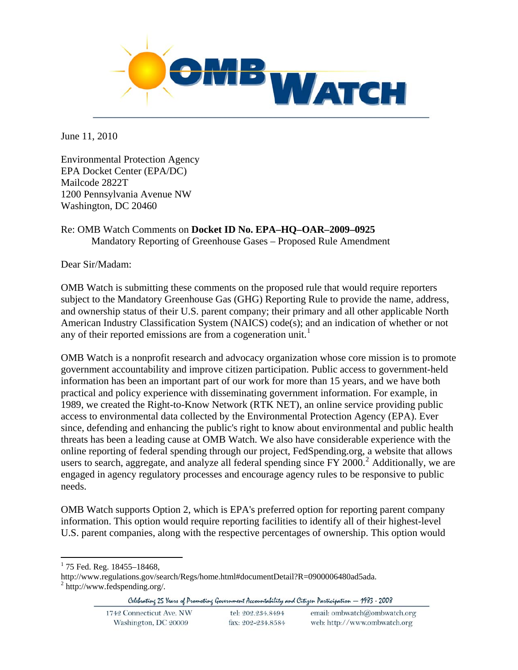

June 11, 2010

Environmental Protection Agency EPA Docket Center (EPA/DC) Mailcode 2822T 1200 Pennsylvania Avenue NW Washington, DC 20460

# Re: OMB Watch Comments on **Docket ID No. EPA–HQ–OAR–2009–0925** Mandatory Reporting of Greenhouse Gases – Proposed Rule Amendment

Dear Sir/Madam:

OMB Watch is submitting these comments on the proposed rule that would require reporters subject to the Mandatory Greenhouse Gas (GHG) Reporting Rule to provide the name, address, and ownership status of their U.S. parent company; their primary and all other applicable North American Industry Classification System (NAICS) code(s); and an indication of whether or not any of their reported emissions are from a cogeneration unit.<sup>[1](#page-0-0)</sup>

OMB Watch is a nonprofit research and advocacy organization whose core mission is to promote government accountability and improve citizen participation. Public access to government-held information has been an important part of our work for more than 15 years, and we have both practical and policy experience with disseminating government information. For example, in 1989, we created the Right-to-Know Network (RTK NET), an online service providing public access to environmental data collected by the Environmental Protection Agency (EPA). Ever since, defending and enhancing the public's right to know about environmental and public health threats has been a leading cause at OMB Watch. We also have considerable experience with the online reporting of federal spending through our project, FedSpending.org, a website that allows users to search, aggregate, and analyze all federal spending since FY [2](#page-0-1)000.<sup>2</sup> Additionally, we are engaged in agency regulatory processes and encourage agency rules to be responsive to public needs.

OMB Watch supports Option 2, which is EPA's preferred option for reporting parent company information. This option would require reporting facilities to identify all of their highest-level U.S. parent companies, along with the respective percentages of ownership. This option would

<sup>1</sup> <sup>1</sup> 75 Fed. Reg. 18455-18468,

<span id="page-0-1"></span><span id="page-0-0"></span>http://www.regulations.gov/search/Regs/home.html#documentDetail?R=0900006480ad5ada. 2 http://www.fedspending.org/.

Celebrating 25 Years of Promoting Government Accountability and Citizen Participation - 1983 - 2008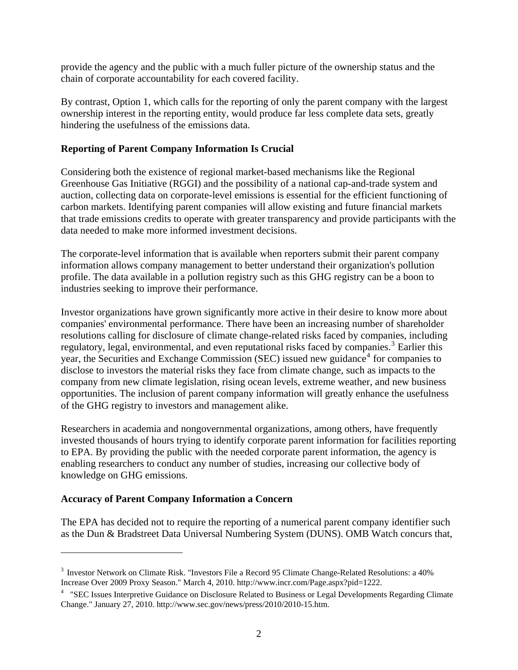provide the agency and the public with a much fuller picture of the ownership status and the chain of corporate accountability for each covered facility.

By contrast, Option 1, which calls for the reporting of only the parent company with the largest ownership interest in the reporting entity, would produce far less complete data sets, greatly hindering the usefulness of the emissions data.

### **Reporting of Parent Company Information Is Crucial**

Considering both the existence of regional market-based mechanisms like the Regional Greenhouse Gas Initiative (RGGI) and the possibility of a national cap-and-trade system and auction, collecting data on corporate-level emissions is essential for the efficient functioning of carbon markets. Identifying parent companies will allow existing and future financial markets that trade emissions credits to operate with greater transparency and provide participants with the data needed to make more informed investment decisions.

The corporate-level information that is available when reporters submit their parent company information allows company management to better understand their organization's pollution profile. The data available in a pollution registry such as this GHG registry can be a boon to industries seeking to improve their performance.

Investor organizations have grown significantly more active in their desire to know more about companies' environmental performance. There have been an increasing number of shareholder resolutions calling for disclosure of climate change-related risks faced by companies, including regulatory, legal, environmental, and even reputational risks faced by companies.<sup>[3](#page-1-0)</sup> Earlier this year, the Securities and Exchange Commission (SEC) issued new guidance<sup>[4](#page-1-1)</sup> for companies to disclose to investors the material risks they face from climate change, such as impacts to the company from new climate legislation, rising ocean levels, extreme weather, and new business opportunities. The inclusion of parent company information will greatly enhance the usefulness of the GHG registry to investors and management alike.

Researchers in academia and nongovernmental organizations, among others, have frequently invested thousands of hours trying to identify corporate parent information for facilities reporting to EPA. By providing the public with the needed corporate parent information, the agency is enabling researchers to conduct any number of studies, increasing our collective body of knowledge on GHG emissions.

#### **Accuracy of Parent Company Information a Concern**

 $\overline{a}$ 

The EPA has decided not to require the reporting of a numerical parent company identifier such as the Dun & Bradstreet Data Universal Numbering System (DUNS). OMB Watch concurs that,

<span id="page-1-0"></span><sup>3</sup> Investor Network on Climate Risk. "Investors File a Record 95 Climate Change-Related Resolutions: a 40% Increase Over 2009 Proxy Season." March 4, 2010. http://www.incr.com/Page.aspx?pid=1222.

<span id="page-1-1"></span><sup>&</sup>lt;sup>4</sup> "SEC Issues Interpretive Guidance on Disclosure Related to Business or Legal Developments Regarding Climate Change." January 27, 2010. http://www.sec.gov/news/press/2010/2010-15.htm.